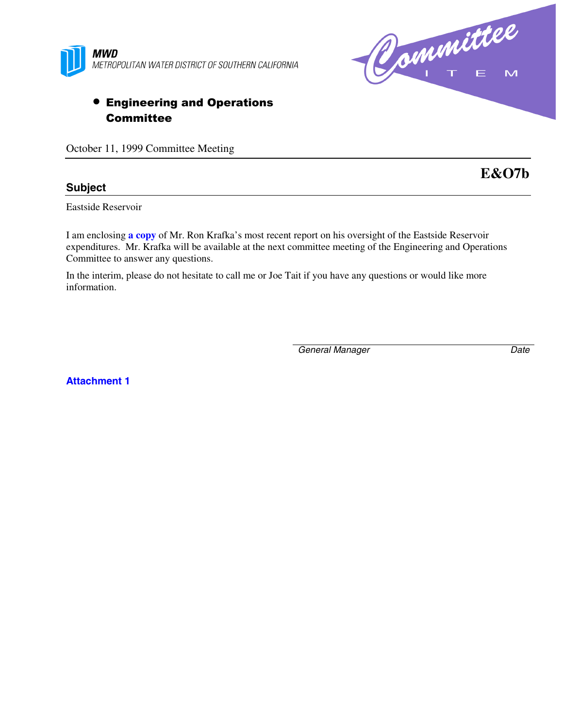

# • Engineering and Operations **Committee**

October 11, 1999 Committee Meeting

#### **Subject**

Eastside Reservoir

I am enclosing **a copy** of Mr. Ron Krafka's most recent report on his oversight of the Eastside Reservoir expenditures. Mr. Krafka will be available at the next committee meeting of the Engineering and Operations Committee to answer any questions.

In the interim, please do not hesitate to call me or Joe Tait if you have any questions or would like more information.

*General Manager Date*

**Attachment 1**



**E&O7b**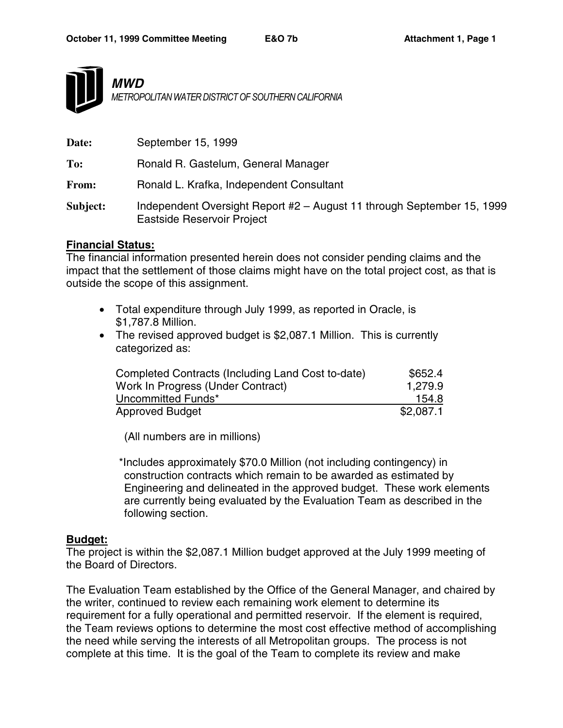

*MWD METROPOLITAN WATER DISTRICT OF SOUTHERN CALIFORNIA*

| Date:    | September 15, 1999                                                                                   |
|----------|------------------------------------------------------------------------------------------------------|
| To:      | Ronald R. Gastelum, General Manager                                                                  |
| From:    | Ronald L. Krafka, Independent Consultant                                                             |
| Subject: | Independent Oversight Report #2 - August 11 through September 15, 1999<br>Eastside Reservoir Project |

#### **Financial Status:**

The financial information presented herein does not consider pending claims and the impact that the settlement of those claims might have on the total project cost, as that is outside the scope of this assignment.

- Total expenditure through July 1999, as reported in Oracle, is \$1,787.8 Million.
- The revised approved budget is \$2,087.1 Million. This is currently categorized as:

| Completed Contracts (Including Land Cost to-date) | \$652.4   |
|---------------------------------------------------|-----------|
| Work In Progress (Under Contract)                 | 1,279.9   |
| Uncommitted Funds*                                | 154.8     |
| <b>Approved Budget</b>                            | \$2,087.1 |

(All numbers are in millions)

 \*Includes approximately \$70.0 Million (not including contingency) in construction contracts which remain to be awarded as estimated by Engineering and delineated in the approved budget. These work elements are currently being evaluated by the Evaluation Team as described in the following section.

#### **Budget:**

The project is within the \$2,087.1 Million budget approved at the July 1999 meeting of the Board of Directors.

The Evaluation Team established by the Office of the General Manager, and chaired by the writer, continued to review each remaining work element to determine its requirement for a fully operational and permitted reservoir. If the element is required, the Team reviews options to determine the most cost effective method of accomplishing the need while serving the interests of all Metropolitan groups. The process is not complete at this time. It is the goal of the Team to complete its review and make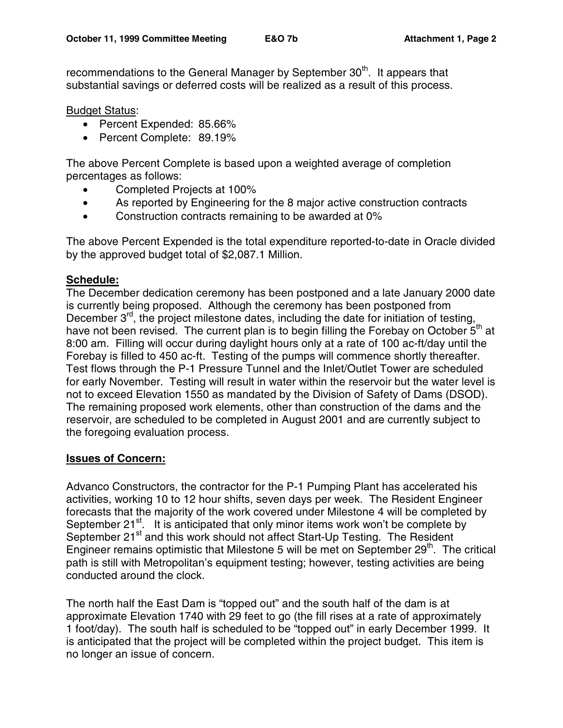recommendations to the General Manager by September 30<sup>th</sup>. It appears that substantial savings or deferred costs will be realized as a result of this process.

#### Budget Status:

- Percent Expended: 85.66%
- Percent Complete: 89.19%

The above Percent Complete is based upon a weighted average of completion percentages as follows:

- Completed Projects at 100%
- As reported by Engineering for the 8 major active construction contracts
- Construction contracts remaining to be awarded at 0%

The above Percent Expended is the total expenditure reported-to-date in Oracle divided by the approved budget total of \$2,087.1 Million.

#### **Schedule:**

The December dedication ceremony has been postponed and a late January 2000 date is currently being proposed. Although the ceremony has been postponed from December  $3^{rd}$ , the project milestone dates, including the date for initiation of testing, have not been revised. The current plan is to begin filling the Forebay on October  $5<sup>th</sup>$  at 8:00 am. Filling will occur during daylight hours only at a rate of 100 ac-ft/day until the Forebay is filled to 450 ac-ft. Testing of the pumps will commence shortly thereafter. Test flows through the P-1 Pressure Tunnel and the Inlet/Outlet Tower are scheduled for early November. Testing will result in water within the reservoir but the water level is not to exceed Elevation 1550 as mandated by the Division of Safety of Dams (DSOD). The remaining proposed work elements, other than construction of the dams and the reservoir, are scheduled to be completed in August 2001 and are currently subject to the foregoing evaluation process.

#### **Issues of Concern:**

Advanco Constructors, the contractor for the P-1 Pumping Plant has accelerated his activities, working 10 to 12 hour shifts, seven days per week. The Resident Engineer forecasts that the majority of the work covered under Milestone 4 will be completed by September  $21^{st}$ . It is anticipated that only minor items work won't be complete by September 21<sup>st</sup> and this work should not affect Start-Up Testing. The Resident Engineer remains optimistic that Milestone 5 will be met on September 29<sup>th</sup>. The critical path is still with Metropolitan's equipment testing; however, testing activities are being conducted around the clock.

The north half the East Dam is "topped out" and the south half of the dam is at approximate Elevation 1740 with 29 feet to go (the fill rises at a rate of approximately 1 foot/day). The south half is scheduled to be "topped out" in early December 1999. It is anticipated that the project will be completed within the project budget. This item is no longer an issue of concern.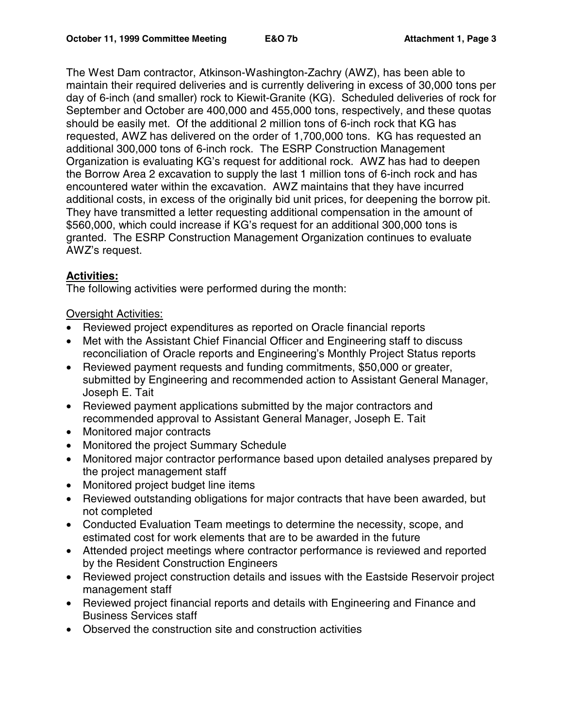The West Dam contractor, Atkinson-Washington-Zachry (AWZ), has been able to maintain their required deliveries and is currently delivering in excess of 30,000 tons per day of 6-inch (and smaller) rock to Kiewit-Granite (KG). Scheduled deliveries of rock for September and October are 400,000 and 455,000 tons, respectively, and these quotas should be easily met. Of the additional 2 million tons of 6-inch rock that KG has requested, AWZ has delivered on the order of 1,700,000 tons. KG has requested an additional 300,000 tons of 6-inch rock. The ESRP Construction Management Organization is evaluating KG's request for additional rock. AWZ has had to deepen the Borrow Area 2 excavation to supply the last 1 million tons of 6-inch rock and has encountered water within the excavation. AWZ maintains that they have incurred additional costs, in excess of the originally bid unit prices, for deepening the borrow pit. They have transmitted a letter requesting additional compensation in the amount of \$560,000, which could increase if KG's request for an additional 300,000 tons is granted. The ESRP Construction Management Organization continues to evaluate AWZ's request.

## **Activities:**

The following activities were performed during the month:

### Oversight Activities:

- Reviewed project expenditures as reported on Oracle financial reports
- Met with the Assistant Chief Financial Officer and Engineering staff to discuss reconciliation of Oracle reports and Engineering's Monthly Project Status reports
- Reviewed payment requests and funding commitments, \$50,000 or greater, submitted by Engineering and recommended action to Assistant General Manager, Joseph E. Tait
- Reviewed payment applications submitted by the major contractors and recommended approval to Assistant General Manager, Joseph E. Tait
- Monitored major contracts
- Monitored the project Summary Schedule
- Monitored major contractor performance based upon detailed analyses prepared by the project management staff
- Monitored project budget line items
- Reviewed outstanding obligations for major contracts that have been awarded, but not completed
- Conducted Evaluation Team meetings to determine the necessity, scope, and estimated cost for work elements that are to be awarded in the future
- Attended project meetings where contractor performance is reviewed and reported by the Resident Construction Engineers
- Reviewed project construction details and issues with the Eastside Reservoir project management staff
- Reviewed project financial reports and details with Engineering and Finance and Business Services staff
- Observed the construction site and construction activities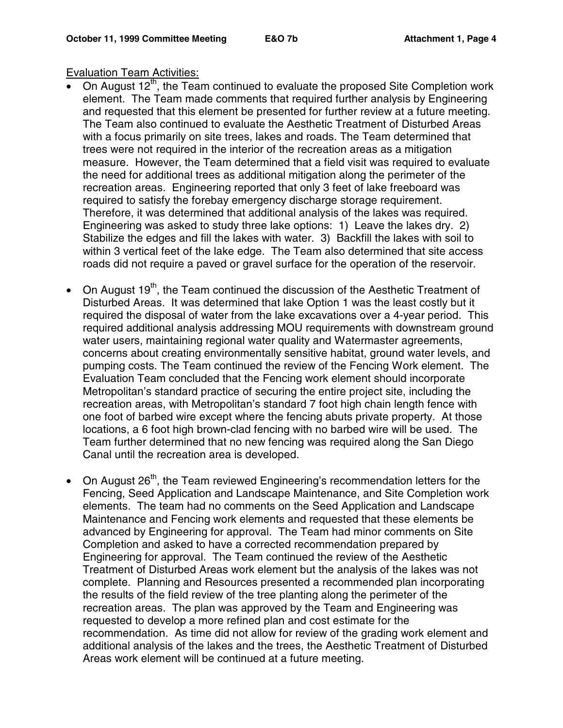#### Evaluation Team Activities:

- On August  $12<sup>th</sup>$ , the Team continued to evaluate the proposed Site Completion work element. The Team made comments that required further analysis by Engineering and requested that this element be presented for further review at a future meeting. The Team also continued to evaluate the Aesthetic Treatment of Disturbed Areas with a focus primarily on site trees, lakes and roads. The Team determined that trees were not required in the interior of the recreation areas as a mitigation measure. However, the Team determined that a field visit was required to evaluate the need for additional trees as additional mitigation along the perimeter of the recreation areas. Engineering reported that only 3 feet of lake freeboard was required to satisfy the forebay emergency discharge storage requirement. Therefore, it was determined that additional analysis of the lakes was required. Engineering was asked to study three lake options: 1) Leave the lakes dry. 2) Stabilize the edges and fill the lakes with water. 3) Backfill the lakes with soil to within 3 vertical feet of the lake edge. The Team also determined that site access roads did not require a paved or gravel surface for the operation of the reservoir.
- On August 19<sup>th</sup>, the Team continued the discussion of the Aesthetic Treatment of Disturbed Areas. It was determined that lake Option 1 was the least costly but it required the disposal of water from the lake excavations over a 4-year period. This required additional analysis addressing MOU requirements with downstream ground water users, maintaining regional water quality and Watermaster agreements, concerns about creating environmentally sensitive habitat, ground water levels, and pumping costs. The Team continued the review of the Fencing Work element. The Evaluation Team concluded that the Fencing work element should incorporate Metropolitan's standard practice of securing the entire project site, including the recreation areas, with Metropolitan's standard 7 foot high chain length fence with one foot of barbed wire except where the fencing abuts private property. At those locations, a 6 foot high brown-clad fencing with no barbed wire will be used. The Team further determined that no new fencing was required along the San Diego Canal until the recreation area is developed.
- On August  $26<sup>th</sup>$ , the Team reviewed Engineering's recommendation letters for the Fencing, Seed Application and Landscape Maintenance, and Site Completion work elements. The team had no comments on the Seed Application and Landscape Maintenance and Fencing work elements and requested that these elements be advanced by Engineering for approval. The Team had minor comments on Site Completion and asked to have a corrected recommendation prepared by Engineering for approval. The Team continued the review of the Aesthetic Treatment of Disturbed Areas work element but the analysis of the lakes was not complete. Planning and Resources presented a recommended plan incorporating the results of the field review of the tree planting along the perimeter of the recreation areas. The plan was approved by the Team and Engineering was requested to develop a more refined plan and cost estimate for the recommendation. As time did not allow for review of the grading work element and additional analysis of the lakes and the trees, the Aesthetic Treatment of Disturbed Areas work element will be continued at a future meeting.